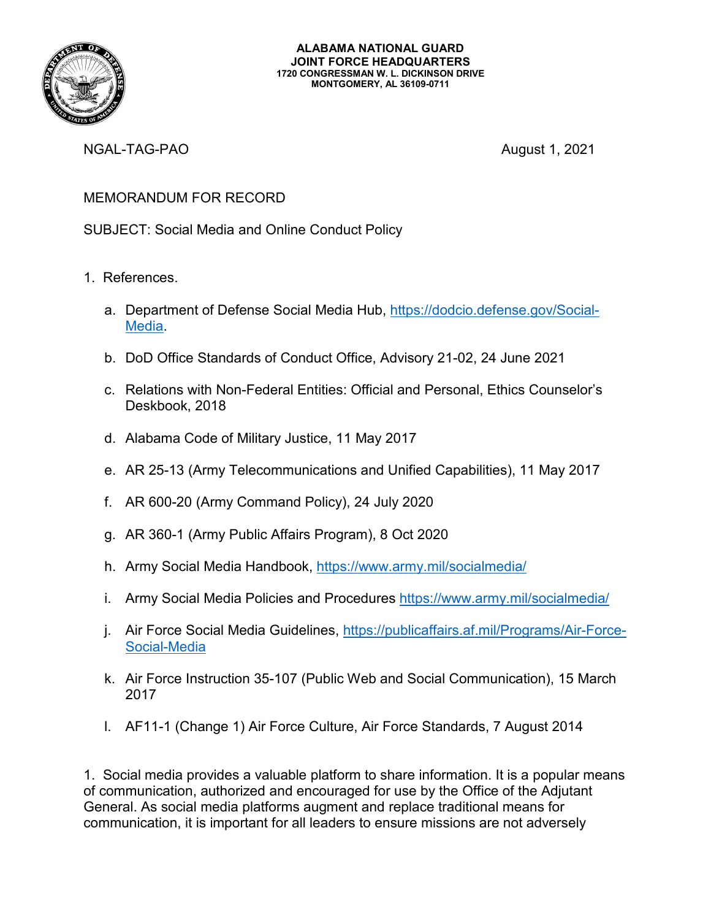

NGAL-TAG-PAO **August 1, 2021** 

## MEMORANDUM FOR RECORD

SUBJECT: Social Media and Online Conduct Policy

- 1. References.
	- a. Department of Defense Social Media Hub, [https://dodcio.defense.gov/Social-](https://dodcio.defense.gov/Social-Media)[Media.](https://dodcio.defense.gov/Social-Media)
	- b. DoD Office Standards of Conduct Office, Advisory 21-02, 24 June 2021
	- c. Relations with Non-Federal Entities: Official and Personal, Ethics Counselor's Deskbook, 2018
	- d. Alabama Code of Military Justice, 11 May 2017
	- e. AR 25-13 (Army Telecommunications and Unified Capabilities), 11 May 2017
	- f. AR 600-20 (Army Command Policy), 24 July 2020
	- g. AR 360-1 (Army Public Affairs Program), 8 Oct 2020
	- h. Army Social Media Handbook, <https://www.army.mil/socialmedia/>
	- i. Army Social Media Policies and Procedures<https://www.army.mil/socialmedia/>
	- j. Air Force Social Media Guidelines, [https://publicaffairs.af.mil/Programs/Air-Force-](https://publicaffairs.af.mil/Programs/Air-Force-Social-Media)[Social-Media](https://publicaffairs.af.mil/Programs/Air-Force-Social-Media)
	- k. Air Force Instruction 35-107 (Public Web and Social Communication), 15 March 2017
	- l. AF11-1 (Change 1) Air Force Culture, Air Force Standards, 7 August 2014

1. Social media provides a valuable platform to share information. It is a popular means of communication, authorized and encouraged for use by the Office of the Adjutant General. As social media platforms augment and replace traditional means for communication, it is important for all leaders to ensure missions are not adversely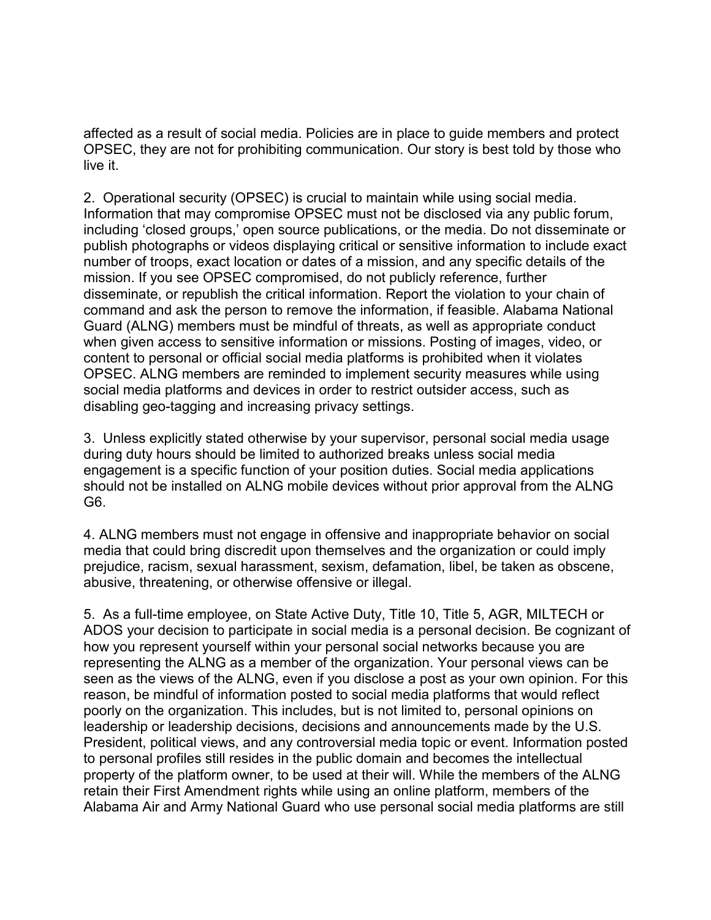affected as a result of social media. Policies are in place to guide members and protect OPSEC, they are not for prohibiting communication. Our story is best told by those who live it.

2. Operational security (OPSEC) is crucial to maintain while using social media. Information that may compromise OPSEC must not be disclosed via any public forum, including 'closed groups,' open source publications, or the media. Do not disseminate or publish photographs or videos displaying critical or sensitive information to include exact number of troops, exact location or dates of a mission, and any specific details of the mission. If you see OPSEC compromised, do not publicly reference, further disseminate, or republish the critical information. Report the violation to your chain of command and ask the person to remove the information, if feasible. Alabama National Guard (ALNG) members must be mindful of threats, as well as appropriate conduct when given access to sensitive information or missions. Posting of images, video, or content to personal or official social media platforms is prohibited when it violates OPSEC. ALNG members are reminded to implement security measures while using social media platforms and devices in order to restrict outsider access, such as disabling geo-tagging and increasing privacy settings.

3. Unless explicitly stated otherwise by your supervisor, personal social media usage during duty hours should be limited to authorized breaks unless social media engagement is a specific function of your position duties. Social media applications should not be installed on ALNG mobile devices without prior approval from the ALNG G6.

4. ALNG members must not engage in offensive and inappropriate behavior on social media that could bring discredit upon themselves and the organization or could imply prejudice, racism, sexual harassment, sexism, defamation, libel, be taken as obscene, abusive, threatening, or otherwise offensive or illegal.

5. As a full-time employee, on State Active Duty, Title 10, Title 5, AGR, MILTECH or ADOS your decision to participate in social media is a personal decision. Be cognizant of how you represent yourself within your personal social networks because you are representing the ALNG as a member of the organization. Your personal views can be seen as the views of the ALNG, even if you disclose a post as your own opinion. For this reason, be mindful of information posted to social media platforms that would reflect poorly on the organization. This includes, but is not limited to, personal opinions on leadership or leadership decisions, decisions and announcements made by the U.S. President, political views, and any controversial media topic or event. Information posted to personal profiles still resides in the public domain and becomes the intellectual property of the platform owner, to be used at their will. While the members of the ALNG retain their First Amendment rights while using an online platform, members of the Alabama Air and Army National Guard who use personal social media platforms are still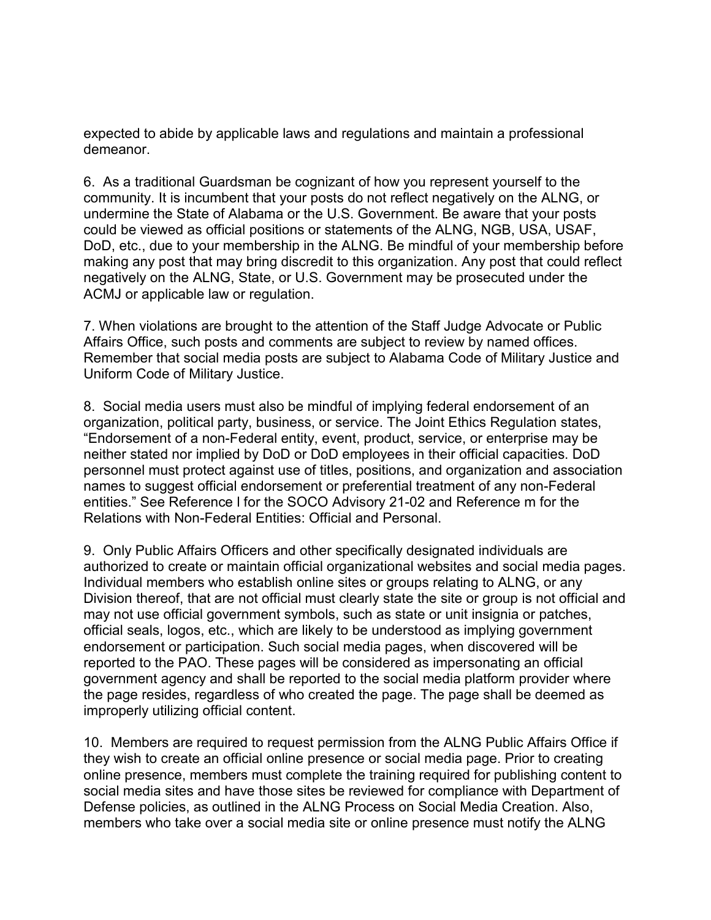expected to abide by applicable laws and regulations and maintain a professional demeanor.

6. As a traditional Guardsman be cognizant of how you represent yourself to the community. It is incumbent that your posts do not reflect negatively on the ALNG, or undermine the State of Alabama or the U.S. Government. Be aware that your posts could be viewed as official positions or statements of the ALNG, NGB, USA, USAF, DoD, etc., due to your membership in the ALNG. Be mindful of your membership before making any post that may bring discredit to this organization. Any post that could reflect negatively on the ALNG, State, or U.S. Government may be prosecuted under the ACMJ or applicable law or regulation.

7. When violations are brought to the attention of the Staff Judge Advocate or Public Affairs Office, such posts and comments are subject to review by named offices. Remember that social media posts are subject to Alabama Code of Military Justice and Uniform Code of Military Justice.

8. Social media users must also be mindful of implying federal endorsement of an organization, political party, business, or service. The Joint Ethics Regulation states, "Endorsement of a non-Federal entity, event, product, service, or enterprise may be neither stated nor implied by DoD or DoD employees in their official capacities. DoD personnel must protect against use of titles, positions, and organization and association names to suggest official endorsement or preferential treatment of any non-Federal entities." See Reference l for the SOCO Advisory 21-02 and Reference m for the Relations with Non-Federal Entities: Official and Personal.

9. Only Public Affairs Officers and other specifically designated individuals are authorized to create or maintain official organizational websites and social media pages. Individual members who establish online sites or groups relating to ALNG, or any Division thereof, that are not official must clearly state the site or group is not official and may not use official government symbols, such as state or unit insignia or patches, official seals, logos, etc., which are likely to be understood as implying government endorsement or participation. Such social media pages, when discovered will be reported to the PAO. These pages will be considered as impersonating an official government agency and shall be reported to the social media platform provider where the page resides, regardless of who created the page. The page shall be deemed as improperly utilizing official content.

10. Members are required to request permission from the ALNG Public Affairs Office if they wish to create an official online presence or social media page. Prior to creating online presence, members must complete the training required for publishing content to social media sites and have those sites be reviewed for compliance with Department of Defense policies, as outlined in the ALNG Process on Social Media Creation. Also, members who take over a social media site or online presence must notify the ALNG